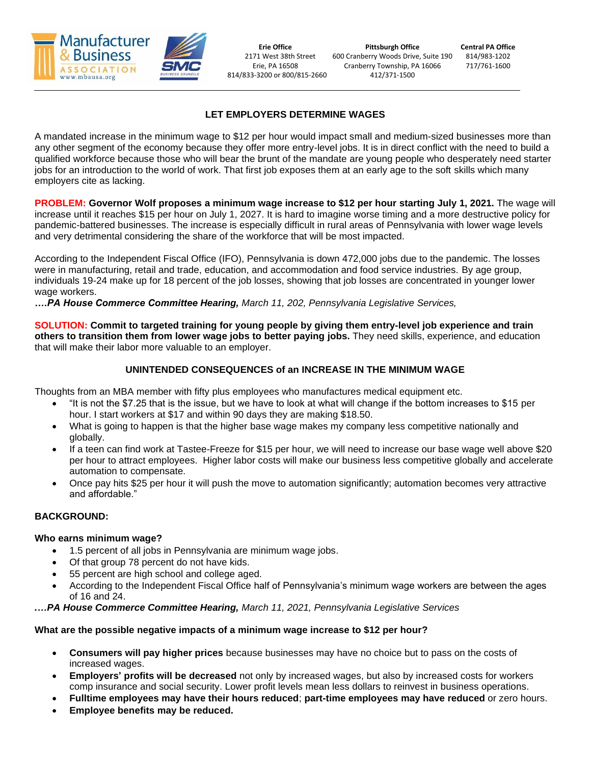

814/833-3200 or 800/815-2660 412/371-1500

**Erie Office Pittsburgh Office Central PA Office** 2171 West 38th Street 600 Cranberry Woods Drive, Suite 190 814/983-1202 Erie, PA 16508 Cranberry Township, PA 16066 717/761-1600

# **LET EMPLOYERS DETERMINE WAGES**

A mandated increase in the minimum wage to \$12 per hour would impact small and medium-sized businesses more than any other segment of the economy because they offer more entry-level jobs. It is in direct conflict with the need to build a qualified workforce because those who will bear the brunt of the mandate are young people who desperately need starter jobs for an introduction to the world of work. That first job exposes them at an early age to the soft skills which many employers cite as lacking.

**PROBLEM: Governor Wolf proposes a minimum wage increase to \$12 per hour starting July 1, 2021.** The wage will increase until it reaches \$15 per hour on July 1, 2027. It is hard to imagine worse timing and a more destructive policy for pandemic-battered businesses. The increase is especially difficult in rural areas of Pennsylvania with lower wage levels and very detrimental considering the share of the workforce that will be most impacted.

According to the Independent Fiscal Office (IFO), Pennsylvania is down 472,000 jobs due to the pandemic. The losses were in manufacturing, retail and trade, education, and accommodation and food service industries. By age group, individuals 19-24 make up for 18 percent of the job losses, showing that job losses are concentrated in younger lower wage workers.

*….PA House Commerce Committee Hearing, March 11, 202, Pennsylvania Legislative Services,*

**SOLUTION: Commit to targeted training for young people by giving them entry-level job experience and train others to transition them from lower wage jobs to better paying jobs.** They need skills, experience, and education that will make their labor more valuable to an employer.

# **UNINTENDED CONSEQUENCES of an INCREASE IN THE MINIMUM WAGE**

Thoughts from an MBA member with fifty plus employees who manufactures medical equipment etc.

- "It is not the \$7.25 that is the issue, but we have to look at what will change if the bottom increases to \$15 per hour. I start workers at \$17 and within 90 days they are making \$18.50.
- What is going to happen is that the higher base wage makes my company less competitive nationally and globally.
- If a teen can find work at Tastee-Freeze for \$15 per hour, we will need to increase our base wage well above \$20 per hour to attract employees. Higher labor costs will make our business less competitive globally and accelerate automation to compensate.
- Once pay hits \$25 per hour it will push the move to automation significantly; automation becomes very attractive and affordable."

# **BACKGROUND:**

### **Who earns minimum wage?**

- 1.5 percent of all jobs in Pennsylvania are minimum wage jobs.
- Of that group 78 percent do not have kids.
- 55 percent are high school and college aged.
- According to the Independent Fiscal Office half of Pennsylvania's minimum wage workers are between the ages of 16 and 24.

*.…PA House Commerce Committee Hearing, March 11, 2021, Pennsylvania Legislative Services*

### **What are the possible negative impacts of a minimum wage increase to \$12 per hour?**

- **Consumers will pay higher prices** because businesses may have no choice but to pass on the costs of increased wages.
- **Employers' profits will be decreased** not only by increased wages, but also by increased costs for workers comp insurance and social security. Lower profit levels mean less dollars to reinvest in business operations.
- **Fulltime employees may have their hours reduced**; **part-time employees may have reduced** or zero hours.
- **Employee benefits may be reduced.**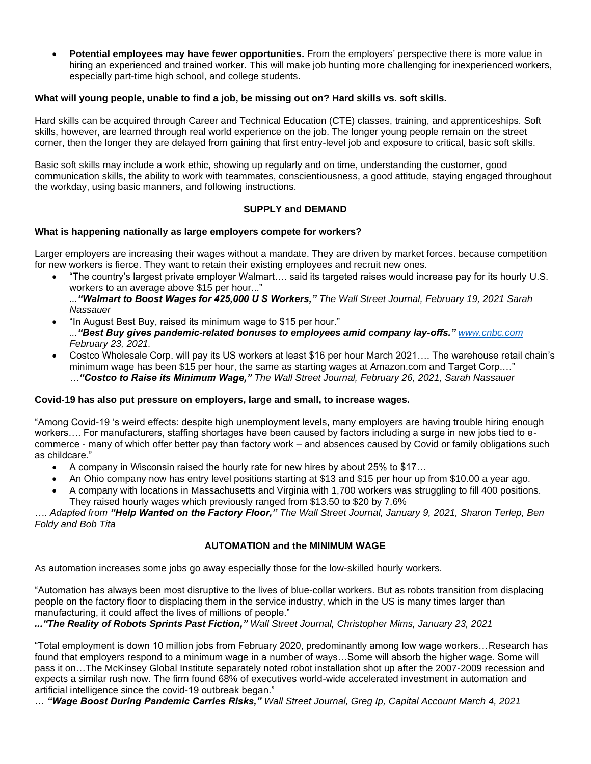• **Potential employees may have fewer opportunities.** From the employers' perspective there is more value in hiring an experienced and trained worker. This will make job hunting more challenging for inexperienced workers, especially part-time high school, and college students.

### **What will young people, unable to find a job, be missing out on? Hard skills vs. soft skills.**

Hard skills can be acquired through Career and Technical Education (CTE) classes, training, and apprenticeships. Soft skills, however, are learned through real world experience on the job. The longer young people remain on the street corner, then the longer they are delayed from gaining that first entry-level job and exposure to critical, basic soft skills.

Basic soft skills may include a work ethic, showing up regularly and on time, understanding the customer, good communication skills, the ability to work with teammates, conscientiousness, a good attitude, staying engaged throughout the workday, using basic manners, and following instructions.

# **SUPPLY and DEMAND**

### **What is happening nationally as large employers compete for workers?**

Larger employers are increasing their wages without a mandate. They are driven by market forces. because competition for new workers is fierce. They want to retain their existing employees and recruit new ones.

• "The country's largest private employer Walmart…. said its targeted raises would increase pay for its hourly U.S. workers to an average above \$15 per hour..."

*..."Walmart to Boost Wages for 425,000 U S Workers," The Wall Street Journal, February 19, 2021 Sarah Nassauer*

- "In August Best Buy, raised its minimum wage to \$15 per hour." *..."Best Buy gives pandemic-related bonuses to employees amid company lay-offs." [www.cnbc.com](http://www.cnbc.com/) February 23, 2021.*
- Costco Wholesale Corp. will pay its US workers at least \$16 per hour March 2021…. The warehouse retail chain's minimum wage has been \$15 per hour, the same as starting wages at Amazon.com and Target Corp.…" *…"Costco to Raise its Minimum Wage," The Wall Street Journal, February 26, 2021, Sarah Nassauer*

### **Covid-19 has also put pressure on employers, large and small, to increase wages.**

"Among Covid-19 's weird effects: despite high unemployment levels, many employers are having trouble hiring enough workers…. For manufacturers, staffing shortages have been caused by factors including a surge in new jobs tied to ecommerce - many of which offer better pay than factory work – and absences caused by Covid or family obligations such as childcare."

- A company in Wisconsin raised the hourly rate for new hires by about 25% to \$17…
- An Ohio company now has entry level positions starting at \$13 and \$15 per hour up from \$10.00 a year ago.
- A company with locations in Massachusetts and Virginia with 1,700 workers was struggling to fill 400 positions. They raised hourly wages which previously ranged from \$13.50 to \$20 by 7.6%

*…. Adapted from "Help Wanted on the Factory Floor," The Wall Street Journal, January 9, 2021, Sharon Terlep, Ben Foldy and Bob Tita*

### **AUTOMATION and the MINIMUM WAGE**

As automation increases some jobs go away especially those for the low-skilled hourly workers.

"Automation has always been most disruptive to the lives of blue-collar workers. But as robots transition from displacing people on the factory floor to displacing them in the service industry, which in the US is many times larger than manufacturing, it could affect the lives of millions of people."

*..."The Reality of Robots Sprints Past Fiction," Wall Street Journal, Christopher Mims, January 23, 2021*

"Total employment is down 10 million jobs from February 2020, predominantly among low wage workers…Research has found that employers respond to a minimum wage in a number of ways…Some will absorb the higher wage. Some will pass it on…The McKinsey Global Institute separately noted robot installation shot up after the 2007-2009 recession and expects a similar rush now. The firm found 68% of executives world-wide accelerated investment in automation and artificial intelligence since the covid-19 outbreak began."

*… "Wage Boost During Pandemic Carries Risks," Wall Street Journal, Greg Ip, Capital Account March 4, 2021*